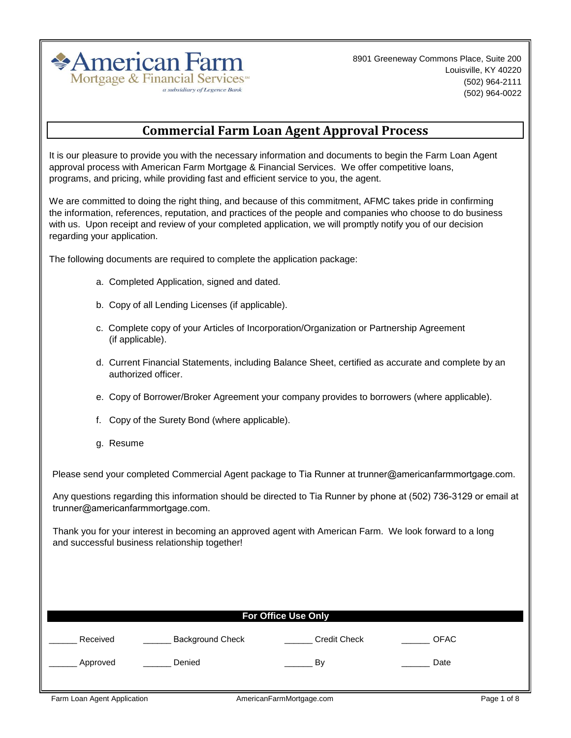

8901 Greeneway Commons Place, Suite 200 Louisville, KY 40220 (502) 964-2111 (502) 964-0022

# **Commercial Farm Loan Agent Approval Process**

It is our pleasure to provide you with the necessary information and documents to begin the Farm Loan Agent approval process with American Farm Mortgage & Financial Services. We offer competitive loans, programs, and pricing, while providing fast and efficient service to you, the agent.

We are committed to doing the right thing, and because of this commitment, AFMC takes pride in confirming the information, references, reputation, and practices of the people and companies who choose to do business with us. Upon receipt and review of your completed application, we will promptly notify you of our decision regarding your application.

The following documents are required to complete the application package:

- a. Completed Application, signed and dated.
- b. Copy of all Lending Licenses (if applicable).
- (if applicable). c. Complete copy of your Articles of Incorporation/Organization or Partnership Agreement
- d. Current Financial Statements, including Balance Sheet, certified as accurate and complete by an authorized officer.
- e. Copy of Borrower/Broker Agreement your company provides to borrowers (where applicable).
- f. Copy of the Surety Bond (where applicable).
- g. Resume

Please send your completed Commercial Agent package to Tia Runner at trunner@americanfarmmortgage.com.

Any questions regarding this information should be directed to Tia Runner by phone at (502) 736-3129 or email at trunner@americanfarmmortgage.com.

Thank you for your interest in becoming an approved agent with American Farm. We look forward to a long and successful business relationship together!

| <b>For Office Use Only</b> |                         |                     |             |  |  |  |  |  |
|----------------------------|-------------------------|---------------------|-------------|--|--|--|--|--|
| Received                   | <b>Background Check</b> | <b>Credit Check</b> | <b>OFAC</b> |  |  |  |  |  |
| Approved                   | Denied                  | By                  | Date        |  |  |  |  |  |
|                            |                         |                     |             |  |  |  |  |  |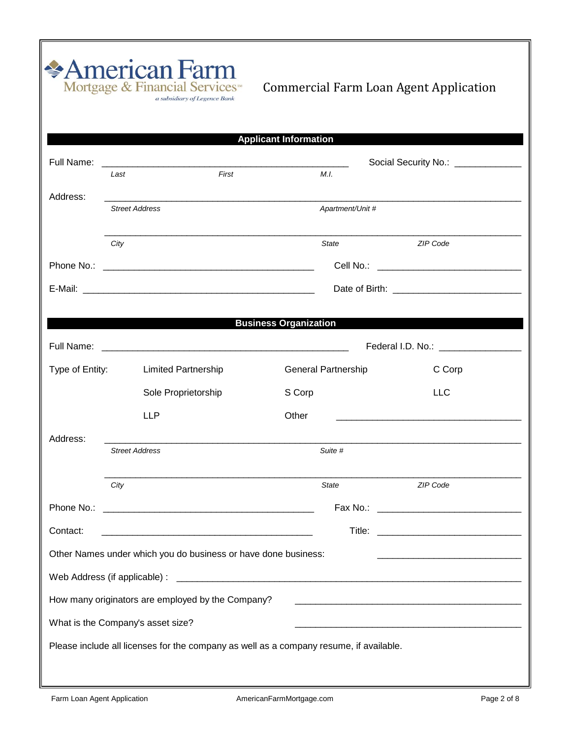|                 |                                                                                                                      | <b>Applicant Information</b> |                                                                                                                                                                                                                                      |  |  |
|-----------------|----------------------------------------------------------------------------------------------------------------------|------------------------------|--------------------------------------------------------------------------------------------------------------------------------------------------------------------------------------------------------------------------------------|--|--|
|                 |                                                                                                                      |                              | Social Security No.: _____________                                                                                                                                                                                                   |  |  |
|                 | First<br>Last                                                                                                        | M.I.                         |                                                                                                                                                                                                                                      |  |  |
| Address:        | <b>Street Address</b>                                                                                                | Apartment/Unit #             |                                                                                                                                                                                                                                      |  |  |
|                 | City                                                                                                                 | State                        | ZIP Code                                                                                                                                                                                                                             |  |  |
|                 |                                                                                                                      |                              |                                                                                                                                                                                                                                      |  |  |
|                 |                                                                                                                      |                              |                                                                                                                                                                                                                                      |  |  |
|                 |                                                                                                                      | <b>Business Organization</b> |                                                                                                                                                                                                                                      |  |  |
|                 |                                                                                                                      |                              | Federal I.D. No.: <u>contract of the set of the set of the set of the set of the set of the set of the set of the set of the set of the set of the set of the set of the set of the set of the set of the set of the set of the </u> |  |  |
| Type of Entity: | <b>Limited Partnership</b>                                                                                           | <b>General Partnership</b>   | C Corp                                                                                                                                                                                                                               |  |  |
|                 | Sole Proprietorship                                                                                                  | S Corp                       | <b>LLC</b>                                                                                                                                                                                                                           |  |  |
|                 | <b>LLP</b>                                                                                                           | Other                        | <u> 1980 - John Harry Harry Harry Harry Harry Harry Harry Harry Harry Harry Harry Harry Harry Harry Harry Harry H</u>                                                                                                                |  |  |
| Address:        | <b>Street Address</b>                                                                                                | Suite #                      |                                                                                                                                                                                                                                      |  |  |
|                 | City                                                                                                                 | <b>State</b>                 | ZIP Code                                                                                                                                                                                                                             |  |  |
| Phone No.:      | <u> 2000 - Jan James James Jan James James James James James James James James James James James James James Jam</u> |                              |                                                                                                                                                                                                                                      |  |  |
| Contact:        |                                                                                                                      |                              |                                                                                                                                                                                                                                      |  |  |
|                 | Other Names under which you do business or have done business:                                                       |                              |                                                                                                                                                                                                                                      |  |  |
|                 |                                                                                                                      |                              |                                                                                                                                                                                                                                      |  |  |
|                 | How many originators are employed by the Company?                                                                    |                              |                                                                                                                                                                                                                                      |  |  |
|                 | What is the Company's asset size?                                                                                    |                              |                                                                                                                                                                                                                                      |  |  |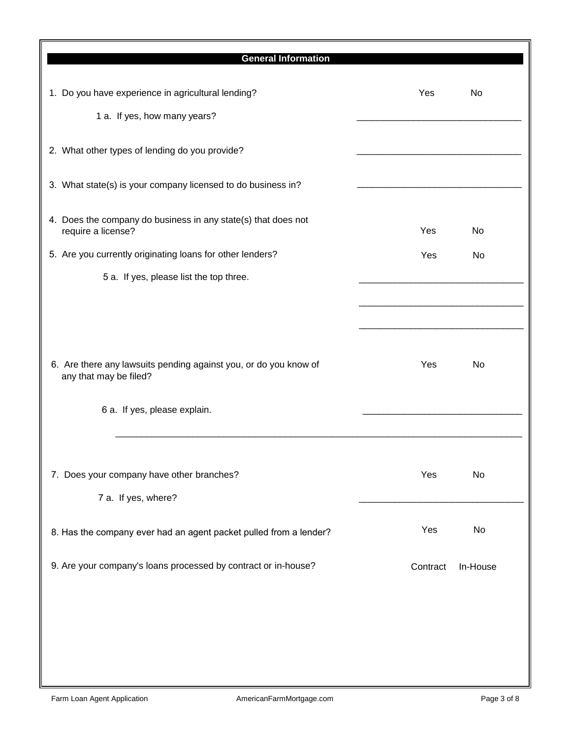| <b>General Information</b>                                                          |          |          |
|-------------------------------------------------------------------------------------|----------|----------|
| 1. Do you have experience in agricultural lending?                                  | Yes      | No       |
| 1 a. If yes, how many years?                                                        |          |          |
| 2. What other types of lending do you provide?                                      |          |          |
| 3. What state(s) is your company licensed to do business in?                        |          |          |
| 4. Does the company do business in any state(s) that does not<br>require a license? | Yes      | No       |
| 5. Are you currently originating loans for other lenders?                           | Yes      | No       |
| 5 a. If yes, please list the top three.                                             |          |          |
| 6. Are there any lawsuits pending against you, or do you know of                    | Yes      | No       |
| any that may be filed?                                                              |          |          |
| 6 a. If yes, please explain.                                                        |          |          |
| 7. Does your company have other branches?<br>7 a. If yes, where?                    | Yes      | No       |
| 8. Has the company ever had an agent packet pulled from a lender?                   | Yes      | No       |
| 9. Are your company's loans processed by contract or in-house?                      | Contract | In-House |
|                                                                                     |          |          |
|                                                                                     |          |          |
|                                                                                     |          |          |
|                                                                                     |          |          |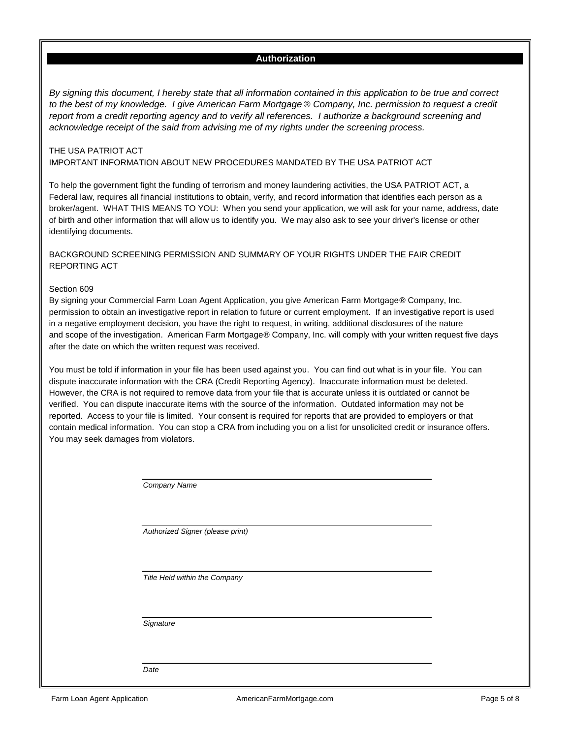#### **Authorization**

*By signing this document, I hereby state that all information contained in this application to be true and correct to the best of my knowledge. I give American Farm Mortgage* ® *Company, Inc. permission to request a credit report from a credit reporting agency and to verify all references. I authorize a background screening and acknowledge receipt of the said from advising me of my rights under the screening process.*

#### THE USA PATRIOT ACT IMPORTANT INFORMATION ABOUT NEW PROCEDURES MANDATED BY THE USA PATRIOT ACT

To help the government fight the funding of terrorism and money laundering activities, the USA PATRIOT ACT, a Federal law, requires all financial institutions to obtain, verify, and record information that identifies each person as a broker/agent. WHAT THIS MEANS TO YOU: When you send your application, we will ask for your name, address, date of birth and other information that will allow us to identify you. We may also ask to see your driver's license or other identifying documents.

#### BACKGROUND SCREENING PERMISSION AND SUMMARY OF YOUR RIGHTS UNDER THE FAIR CREDIT REPORTING ACT

#### Section 609

By signing your Commercial Farm Loan Agent Application, you give American Farm Mortgage® Company, Inc. permission to obtain an investigative report in relation to future or current employment. If an investigative report is used in a negative employment decision, you have the right to request, in writing, additional disclosures of the nature and scope of the investigation. American Farm Mortgage® Company, Inc. will comply with your written request five days after the date on which the written request was received.

You must be told if information in your file has been used against you. You can find out what is in your file. You can dispute inaccurate information with the CRA (Credit Reporting Agency). Inaccurate information must be deleted. However, the CRA is not required to remove data from your file that is accurate unless it is outdated or cannot be verified. You can dispute inaccurate items with the source of the information. Outdated information may not be reported. Access to your file is limited. Your consent is required for reports that are provided to employers or that contain medical information. You can stop a CRA from including you on a list for unsolicited credit or insurance offers. You may seek damages from violators.

*Company Name*

*Authorized Signer (please print)*

*Title Held within the Company*

*Signature*

*Date*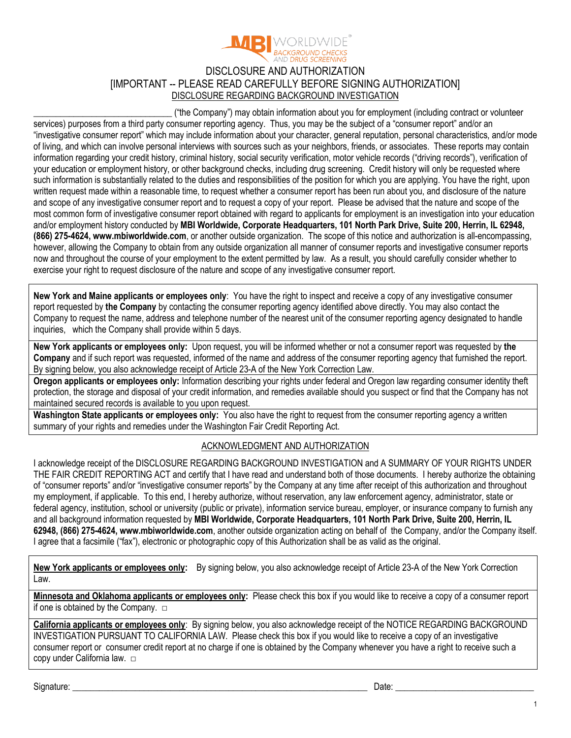

## DISCLOSURE AND AUTHORIZATION [IMPORTANT -- PLEASE READ CAREFULLY BEFORE SIGNING AUTHORIZATION] DISCLOSURE REGARDING BACKGROUND INVESTIGATION

**\_\_\_\_\_\_\_\_\_\_\_\_\_\_\_\_\_\_\_\_\_\_\_\_\_\_\_\_\_\_\_** ("the Company") may obtain information about you for employment (including contract or volunteer services) purposes from a third party consumer reporting agency. Thus, you may be the subject of a "consumer report" and/or an "investigative consumer report" which may include information about your character, general reputation, personal characteristics, and/or mode of living, and which can involve personal interviews with sources such as your neighbors, friends, or associates. These reports may contain information regarding your credit history, criminal history, social security verification, motor vehicle records ("driving records"), verification of your education or employment history, or other background checks, including drug screening. Credit history will only be requested where such information is substantially related to the duties and responsibilities of the position for which you are applying. You have the right, upon written request made within a reasonable time, to request whether a consumer report has been run about you, and disclosure of the nature and scope of any investigative consumer report and to request a copy of your report. Please be advised that the nature and scope of the most common form of investigative consumer report obtained with regard to applicants for employment is an investigation into your education and/or employment history conducted by **MBI Worldwide, Corporate Headquarters, 101 North Park Drive, Suite 200, Herrin, IL 62948, (866) 275-4624, www.mbiworldwide.com**, or another outside organization. The scope of this notice and authorization is all-encompassing, however, allowing the Company to obtain from any outside organization all manner of consumer reports and investigative consumer reports now and throughout the course of your employment to the extent permitted by law. As a result, you should carefully consider whether to exercise your right to request disclosure of the nature and scope of any investigative consumer report.

**New York and Maine applicants or employees only**: You have the right to inspect and receive a copy of any investigative consumer report requested by **the Company** by contacting the consumer reporting agency identified above directly. You may also contact the Company to request the name, address and telephone number of the nearest unit of the consumer reporting agency designated to handle inquiries, which the Company shall provide within 5 days.

**New York applicants or employees only:** Upon request, you will be informed whether or not a consumer report was requested by **the Company** and if such report was requested, informed of the name and address of the consumer reporting agency that furnished the report. By signing below, you also acknowledge receipt of Article 23-A of the New York Correction Law.

**Oregon applicants or employees only:** Information describing your rights under federal and Oregon law regarding consumer identity theft protection, the storage and disposal of your credit information, and remedies available should you suspect or find that the Company has not maintained secured records is available to you upon request.

**Washington State applicants or employees only:** You also have the right to request from the consumer reporting agency a written summary of your rights and remedies under the Washington Fair Credit Reporting Act.

### ACKNOWLEDGMENT AND AUTHORIZATION

I acknowledge receipt of the DISCLOSURE REGARDING BACKGROUND INVESTIGATION and A SUMMARY OF YOUR RIGHTS UNDER THE FAIR CREDIT REPORTING ACT and certify that I have read and understand both of those documents. I hereby authorize the obtaining of "consumer reports" and/or "investigative consumer reports" by the Company at any time after receipt of this authorization and throughout my employment, if applicable. To this end, I hereby authorize, without reservation, any law enforcement agency, administrator, state or federal agency, institution, school or university (public or private), information service bureau, employer, or insurance company to furnish any and all background information requested by **MBI Worldwide, Corporate Headquarters, 101 North Park Drive, Suite 200, Herrin, IL 62948, (866) 275-4624, www.mbiworldwide.com**, another outside organization acting on behalf of the Company, and/or the Company itself. I agree that a facsimile ("fax"), electronic or photographic copy of this Authorization shall be as valid as the original.

**New York applicants or employees only:** By signing below, you also acknowledge receipt of Article 23-A of the New York Correction Law.

**Minnesota and Oklahoma applicants or employees only:** Please check this box if you would like to receive a copy of a consumer report if one is obtained by the Company.  $\Box$ 

**California applicants or employees only**: By signing below, you also acknowledge receipt of the NOTICE REGARDING BACKGROUND INVESTIGATION PURSUANT TO CALIFORNIA LAW. Please check this box if you would like to receive a copy of an investigative consumer report or consumer credit report at no charge if one is obtained by the Company whenever you have a right to receive such a copy under California law. □